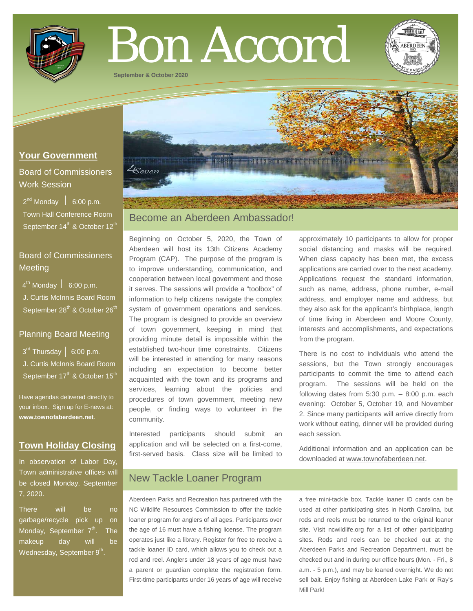

# Bon Accord

**September & October 2020**

# **Your Government**

Board of Commissioners Work Session

 $2^{nd}$  Monday  $\left| 6:00 \text{ p.m.} \right|$  Town Hall Conference Room September 14<sup>th</sup> & October 12<sup>th</sub></sup>

# Board of Commissioners **Meeting**

 $4^{\text{th}}$  Monday  $\vert$  6:00 p.m.

 J. Curtis McInnis Board Room September 28<sup>th</sup> & October 26<sup>th</sup>

## Planning Board Meeting

 $3<sup>rd</sup>$  Thursday | 6:00 p.m. J. Curtis McInnis Board Room September  $17<sup>th</sup>$  & October  $15<sup>th</sup>$ 

Have agendas delivered directly to your inbox. Sign up for E-news at: **[www.townofaberdeen.net](http://www.townofaberdeen.net/)**.

# **Town Holiday Closing**

In observation of Labor Day, Town administrative offices will be closed Monday, September 7, 2020.

There will be no garbage/recycle pick up on Monday, September  $7<sup>th</sup>$ . The makeup day will be Wednesday, September  $9<sup>th</sup>$ .

# Become an Aberdeen Ambassador!

Beginning on October 5, 2020, the Town of Aberdeen will host its 13th Citizens Academy Program (CAP). The purpose of the program is to improve understanding, communication, and cooperation between local government and those it serves. The sessions will provide a "toolbox" of information to help citizens navigate the complex system of government operations and services. The program is designed to provide an overview of town government, keeping in mind that providing minute detail is impossible within the established two-hour time constraints. Citizens will be interested in attending for many reasons including an expectation to become better acquainted with the town and its programs and services, learning about the policies and procedures of town government, meeting new people, or finding ways to volunteer in the community.

Interested participants should submit an application and will be selected on a first-come, first-served basis. Class size will be limited to

approximately 10 participants to allow for proper social distancing and masks will be required. When class capacity has been met, the excess applications are carried over to the next academy. Applications request the standard information, such as name, address, phone number, e-mail address, and employer name and address, but they also ask for the applicant's birthplace, length of time living in Aberdeen and Moore County, interests and accomplishments, and expectations from the program.

There is no cost to individuals who attend the sessions, but the Town strongly encourages participants to commit the time to attend each program. The sessions will be held on the following dates from 5:30 p.m. – 8:00 p.m. each evening: October 5, October 19, and November 2. Since many participants will arrive directly from work without eating, dinner will be provided during each session.

Additional information and an application can be downloaded at www.townofaberdeen.net.

# New Tackle Loaner Program

Aberdeen Parks and Recreation has partnered with the NC Wildlife Resources Commission to offer the tackle loaner program for anglers of all ages. Participants over the age of 16 must have a fishing license. The program operates just like a library. Register for free to receive a tackle loaner ID card, which allows you to check out a rod and reel. Anglers under 18 years of age must have a parent or guardian complete the registration form. First-time participants under 16 years of age will receive

a free mini-tackle box. Tackle loaner ID cards can be used at other participating sites in North Carolina, but rods and reels must be returned to the original loaner site. Visit ncwildlife.org for a list of other participating sites. Rods and reels can be checked out at the Aberdeen Parks and Recreation Department, must be checked out and in during our office hours (Mon. - Fri., 8 a.m. - 5 p.m.), and may be loaned overnight. We do not sell bait. Enjoy fishing at Aberdeen Lake Park or Ray's Mill Park!